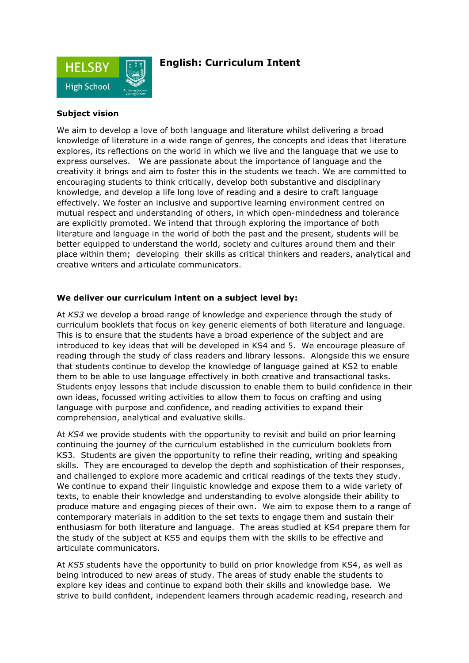

## **English: Curriculum Intent**

#### **Subject vision**

We aim to develop a love of both language and literature whilst delivering a broad knowledge of literature in a wide range of genres, the concepts and ideas that literature explores, its reflections on the world in which we live and the language that we use to express ourselves. We are passionate about the importance of language and the creativity it brings and aim to foster this in the students we teach. We are committed to encouraging students to think critically, develop both substantive and disciplinary knowledge, and develop a life long love of reading and a desire to craft language effectively. We foster an inclusive and supportive learning environment centred on mutual respect and understanding of others, in which open-mindedness and tolerance are explicitly promoted. We intend that through exploring the importance of both literature and language in the world of both the past and the present, students will be better equipped to understand the world, society and cultures around them and their place within them; developing their skills as critical thinkers and readers, analytical and creative writers and articulate communicators.

#### **We deliver our curriculum intent on a subject level by:**

At *KS3* we develop a broad range of knowledge and experience through the study of curriculum booklets that focus on key generic elements of both literature and language. This is to ensure that the students have a broad experience of the subject and are introduced to key ideas that will be developed in KS4 and 5. We encourage pleasure of reading through the study of class readers and library lessons. Alongside this we ensure that students continue to develop the knowledge of language gained at KS2 to enable them to be able to use language effectively in both creative and transactional tasks. Students enjoy lessons that include discussion to enable them to build confidence in their own ideas, focussed writing activities to allow them to focus on crafting and using language with purpose and confidence, and reading activities to expand their comprehension, analytical and evaluative skills.

At *KS4* we provide students with the opportunity to revisit and build on prior learning continuing the journey of the curriculum established in the curriculum booklets from KS3. Students are given the opportunity to refine their reading, writing and speaking skills. They are encouraged to develop the depth and sophistication of their responses, and challenged to explore more academic and critical readings of the texts they study. We continue to expand their linguistic knowledge and expose them to a wide variety of texts, to enable their knowledge and understanding to evolve alongside their ability to produce mature and engaging pieces of their own. We aim to expose them to a range of contemporary materials in addition to the set texts to engage them and sustain their enthusiasm for both literature and language. The areas studied at KS4 prepare them for the study of the subject at KS5 and equips them with the skills to be effective and articulate communicators.

At *KS5* students have the opportunity to build on prior knowledge from KS4, as well as being introduced to new areas of study. The areas of study enable the students to explore key ideas and continue to expand both their skills and knowledge base. We strive to build confident, independent learners through academic reading, research and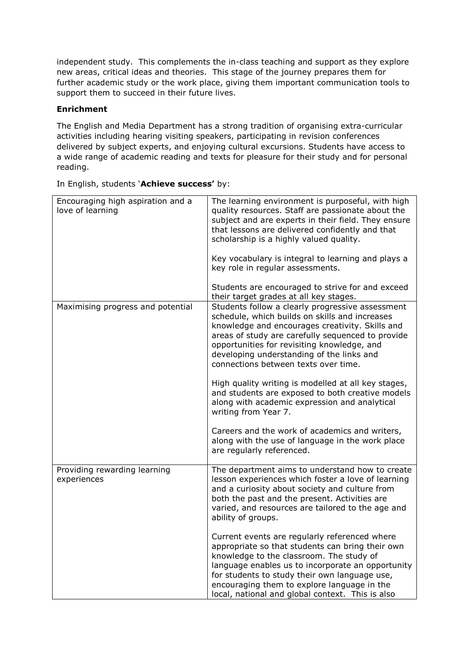independent study. This complements the in-class teaching and support as they explore new areas, critical ideas and theories. This stage of the journey prepares them for further academic study or the work place, giving them important communication tools to support them to succeed in their future lives.

### **Enrichment**

The English and Media Department has a strong tradition of organising extra-curricular activities including hearing visiting speakers, participating in revision conferences delivered by subject experts, and enjoying cultural excursions. Students have access to a wide range of academic reading and texts for pleasure for their study and for personal reading.

In English, students '**Achieve success'** by:

| Encouraging high aspiration and a<br>love of learning | The learning environment is purposeful, with high<br>quality resources. Staff are passionate about the<br>subject and are experts in their field. They ensure<br>that lessons are delivered confidently and that<br>scholarship is a highly valued quality.                                                                                                                                                                                                                                                                                                                                                                                                           |
|-------------------------------------------------------|-----------------------------------------------------------------------------------------------------------------------------------------------------------------------------------------------------------------------------------------------------------------------------------------------------------------------------------------------------------------------------------------------------------------------------------------------------------------------------------------------------------------------------------------------------------------------------------------------------------------------------------------------------------------------|
|                                                       | Key vocabulary is integral to learning and plays a<br>key role in regular assessments.                                                                                                                                                                                                                                                                                                                                                                                                                                                                                                                                                                                |
|                                                       | Students are encouraged to strive for and exceed<br>their target grades at all key stages.                                                                                                                                                                                                                                                                                                                                                                                                                                                                                                                                                                            |
| Maximising progress and potential                     | Students follow a clearly progressive assessment<br>schedule, which builds on skills and increases<br>knowledge and encourages creativity. Skills and<br>areas of study are carefully sequenced to provide<br>opportunities for revisiting knowledge, and<br>developing understanding of the links and<br>connections between texts over time.<br>High quality writing is modelled at all key stages,<br>and students are exposed to both creative models<br>along with academic expression and analytical<br>writing from Year 7.<br>Careers and the work of academics and writers,<br>along with the use of language in the work place<br>are regularly referenced. |
| Providing rewarding learning                          | The department aims to understand how to create                                                                                                                                                                                                                                                                                                                                                                                                                                                                                                                                                                                                                       |
| experiences                                           | lesson experiences which foster a love of learning<br>and a curiosity about society and culture from<br>both the past and the present. Activities are<br>varied, and resources are tailored to the age and<br>ability of groups.                                                                                                                                                                                                                                                                                                                                                                                                                                      |
|                                                       | Current events are regularly referenced where<br>appropriate so that students can bring their own<br>knowledge to the classroom. The study of<br>language enables us to incorporate an opportunity<br>for students to study their own language use,<br>encouraging them to explore language in the<br>local, national and global context. This is also                                                                                                                                                                                                                                                                                                                |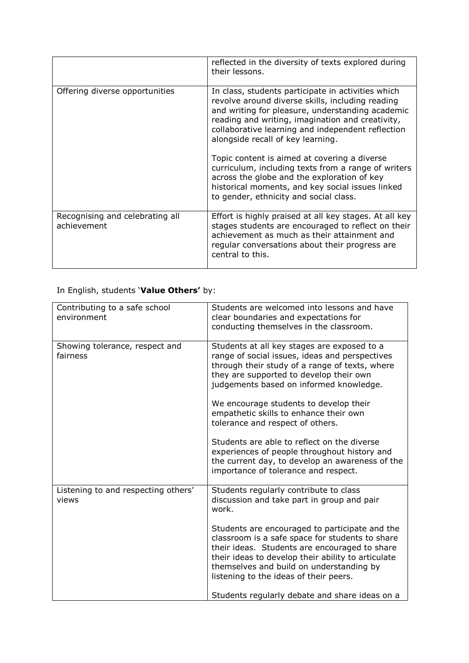|                                                | reflected in the diversity of texts explored during<br>their lessons.                                                                                                                                                                                                                                                                                                                                                                                                                                                                                        |
|------------------------------------------------|--------------------------------------------------------------------------------------------------------------------------------------------------------------------------------------------------------------------------------------------------------------------------------------------------------------------------------------------------------------------------------------------------------------------------------------------------------------------------------------------------------------------------------------------------------------|
| Offering diverse opportunities                 | In class, students participate in activities which<br>revolve around diverse skills, including reading<br>and writing for pleasure, understanding academic<br>reading and writing, imagination and creativity,<br>collaborative learning and independent reflection<br>alongside recall of key learning.<br>Topic content is aimed at covering a diverse<br>curriculum, including texts from a range of writers<br>across the globe and the exploration of key<br>historical moments, and key social issues linked<br>to gender, ethnicity and social class. |
| Recognising and celebrating all<br>achievement | Effort is highly praised at all key stages. At all key<br>stages students are encouraged to reflect on their<br>achievement as much as their attainment and<br>regular conversations about their progress are<br>central to this.                                                                                                                                                                                                                                                                                                                            |

# In English, students '**Value Others'** by:

| Contributing to a safe school<br>environment | Students are welcomed into lessons and have<br>clear boundaries and expectations for<br>conducting themselves in the classroom.                                                                                                                                                                |
|----------------------------------------------|------------------------------------------------------------------------------------------------------------------------------------------------------------------------------------------------------------------------------------------------------------------------------------------------|
| Showing tolerance, respect and<br>fairness   | Students at all key stages are exposed to a<br>range of social issues, ideas and perspectives<br>through their study of a range of texts, where<br>they are supported to develop their own<br>judgements based on informed knowledge.                                                          |
|                                              | We encourage students to develop their<br>empathetic skills to enhance their own<br>tolerance and respect of others.                                                                                                                                                                           |
|                                              | Students are able to reflect on the diverse<br>experiences of people throughout history and<br>the current day, to develop an awareness of the<br>importance of tolerance and respect.                                                                                                         |
| Listening to and respecting others'<br>views | Students regularly contribute to class<br>discussion and take part in group and pair<br>work.                                                                                                                                                                                                  |
|                                              | Students are encouraged to participate and the<br>classroom is a safe space for students to share<br>their ideas. Students are encouraged to share<br>their ideas to develop their ability to articulate<br>themselves and build on understanding by<br>listening to the ideas of their peers. |
|                                              | Students regularly debate and share ideas on a                                                                                                                                                                                                                                                 |